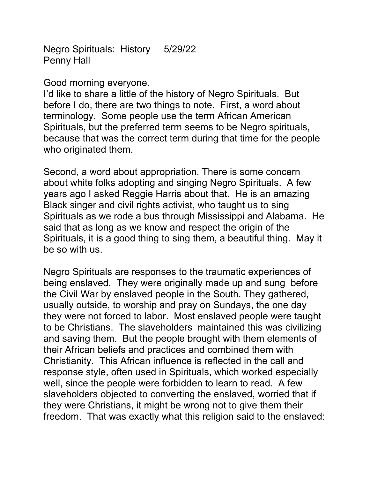Negro Spirituals: History 5/29/22 Penny Hall

Good morning everyone.

I'd like to share a little of the history of Negro Spirituals. But before I do, there are two things to note. First, a word about terminology. Some people use the term African American Spirituals, but the preferred term seems to be Negro spirituals, because that was the correct term during that time for the people who originated them.

Second, a word about appropriation. There is some concern about white folks adopting and singing Negro Spirituals. A few years ago I asked Reggie Harris about that. He is an amazing Black singer and civil rights activist, who taught us to sing Spirituals as we rode a bus through Mississippi and Alabama. He said that as long as we know and respect the origin of the Spirituals, it is a good thing to sing them, a beautiful thing. May it be so with us.

Negro Spirituals are responses to the traumatic experiences of being enslaved. They were originally made up and sung before the Civil War by enslaved people in the South. They gathered, usually outside, to worship and pray on Sundays, the one day they were not forced to labor. Most enslaved people were taught to be Christians. The slaveholders maintained this was civilizing and saving them. But the people brought with them elements of their African beliefs and practices and combined them with Christianity. This African influence is reflected in the call and response style, often used in Spirituals, which worked especially well, since the people were forbidden to learn to read. A few slaveholders objected to converting the enslaved, worried that if they were Christians, it might be wrong not to give them their freedom. That was exactly what this religion said to the enslaved: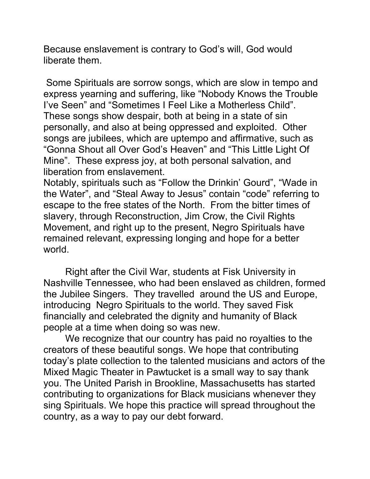Because enslavement is contrary to God's will, God would liberate them.

Some Spirituals are sorrow songs, which are slow in tempo and express yearning and suffering, like "Nobody Knows the Trouble I've Seen" and "Sometimes I Feel Like a Motherless Child". These songs show despair, both at being in a state of sin personally, and also at being oppressed and exploited. Other songs are jubilees, which are uptempo and affirmative, such as "Gonna Shout all Over God's Heaven" and "This Little Light Of Mine". These express joy, at both personal salvation, and liberation from enslavement.

Notably, spirituals such as "Follow the Drinkin' Gourd", "Wade in the Water", and "Steal Away to Jesus" contain "code" referring to escape to the free states of the North. From the bitter times of slavery, through Reconstruction, Jim Crow, the Civil Rights Movement, and right up to the present, Negro Spirituals have remained relevant, expressing longing and hope for a better world.

Right after the Civil War, students at Fisk University in Nashville Tennessee, who had been enslaved as children, formed the Jubilee Singers. They travelled around the US and Europe, introducing Negro Spirituals to the world. They saved Fisk financially and celebrated the dignity and humanity of Black people at a time when doing so was new.

We recognize that our country has paid no royalties to the creators of these beautiful songs. We hope that contributing today's plate collection to the talented musicians and actors of the Mixed Magic Theater in Pawtucket is a small way to say thank you. The United Parish in Brookline, Massachusetts has started contributing to organizations for Black musicians whenever they sing Spirituals. We hope this practice will spread throughout the country, as a way to pay our debt forward.